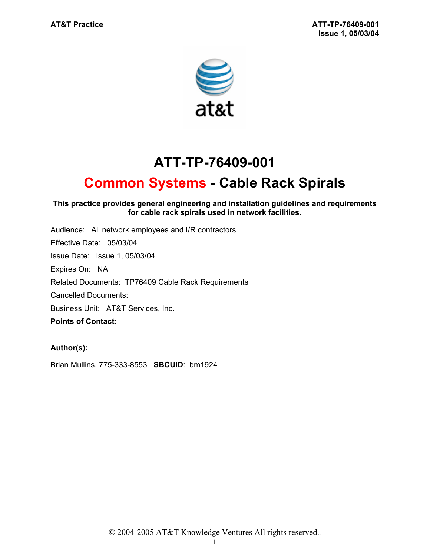

# **ATT-TP-76409-001**

# **Common Systems - Cable Rack Spirals**

#### **This practice provides general engineering and installation guidelines and requirements for cable rack spirals used in network facilities.**

Audience: All network employees and I/R contractors Effective Date: 05/03/04 Issue Date: Issue 1, 05/03/04 Expires On: NA Related Documents: TP76409 Cable Rack Requirements Cancelled Documents: Business Unit: AT&T Services, Inc. **Points of Contact:** 

## **Author(s):**

Brian Mullins, 775-333-8553 **SBCUID**: bm1924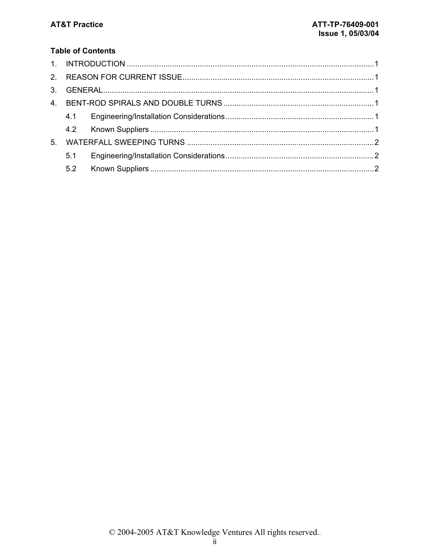## **Table of Contents**

|    | 4.1 |  |  |  |  |
|----|-----|--|--|--|--|
|    |     |  |  |  |  |
| 5. |     |  |  |  |  |
|    | 5.1 |  |  |  |  |
|    |     |  |  |  |  |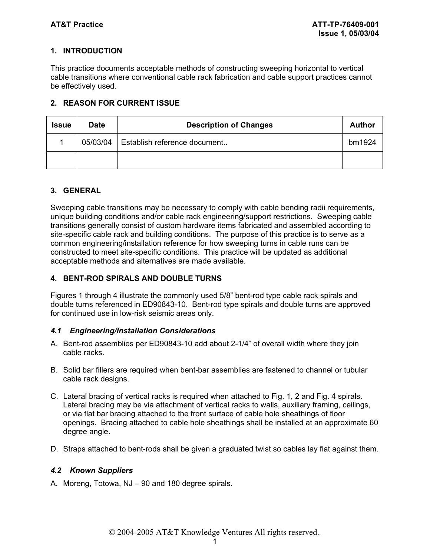### **1. INTRODUCTION**

This practice documents acceptable methods of constructing sweeping horizontal to vertical cable transitions where conventional cable rack fabrication and cable support practices cannot be effectively used.

#### **2. REASON FOR CURRENT ISSUE**

| <b>Issue</b> | <b>Date</b> | <b>Description of Changes</b> | Author |
|--------------|-------------|-------------------------------|--------|
|              | 05/03/04    | Establish reference document  | bm1924 |
|              |             |                               |        |

### **3. GENERAL**

Sweeping cable transitions may be necessary to comply with cable bending radii requirements, unique building conditions and/or cable rack engineering/support restrictions. Sweeping cable transitions generally consist of custom hardware items fabricated and assembled according to site-specific cable rack and building conditions. The purpose of this practice is to serve as a common engineering/installation reference for how sweeping turns in cable runs can be constructed to meet site-specific conditions. This practice will be updated as additional acceptable methods and alternatives are made available.

#### **4. BENT-ROD SPIRALS AND DOUBLE TURNS**

Figures 1 through 4 illustrate the commonly used 5/8" bent-rod type cable rack spirals and double turns referenced in ED90843-10. Bent-rod type spirals and double turns are approved for continued use in low-risk seismic areas only.

#### *4.1 Engineering/Installation Considerations*

- A. Bent-rod assemblies per ED90843-10 add about 2-1/4" of overall width where they join cable racks.
- B. Solid bar fillers are required when bent-bar assemblies are fastened to channel or tubular cable rack designs.
- C. Lateral bracing of vertical racks is required when attached to Fig. 1, 2 and Fig. 4 spirals. Lateral bracing may be via attachment of vertical racks to walls, auxiliary framing, ceilings, or via flat bar bracing attached to the front surface of cable hole sheathings of floor openings. Bracing attached to cable hole sheathings shall be installed at an approximate 60 degree angle.
- D. Straps attached to bent-rods shall be given a graduated twist so cables lay flat against them.

#### *4.2 Known Suppliers*

A. Moreng, Totowa, NJ – 90 and 180 degree spirals.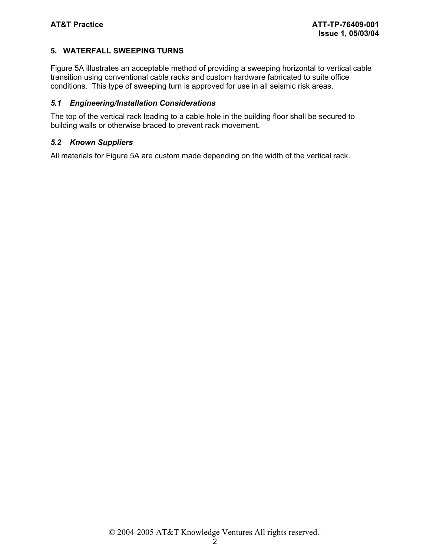#### **5. WATERFALL SWEEPING TURNS**

Figure 5A illustrates an acceptable method of providing a sweeping horizontal to vertical cable transition using conventional cable racks and custom hardware fabricated to suite office conditions. This type of sweeping turn is approved for use in all seismic risk areas.

#### *5.1 Engineering/Installation Considerations*

The top of the vertical rack leading to a cable hole in the building floor shall be secured to building walls or otherwise braced to prevent rack movement.

#### *5.2 Known Suppliers*

All materials for Figure 5A are custom made depending on the width of the vertical rack.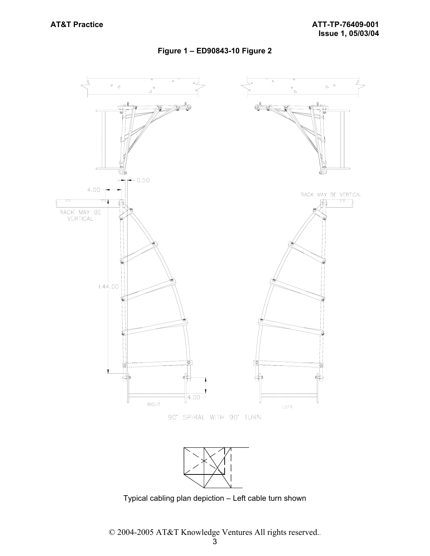### **Figure 1 – ED90843-10 Figure 2**



Typical cabling plan depiction – Left cable turn shown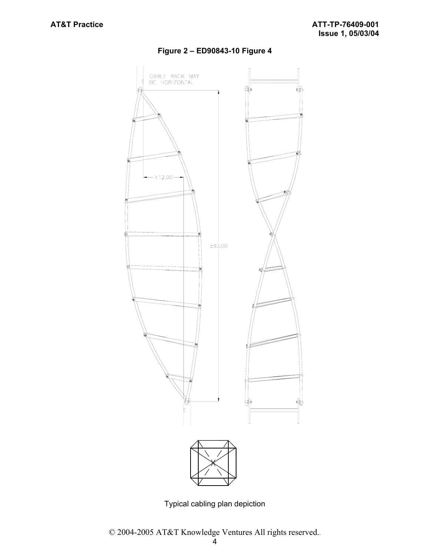

### **Figure 2 – ED90843-10 Figure 4**

Typical cabling plan depiction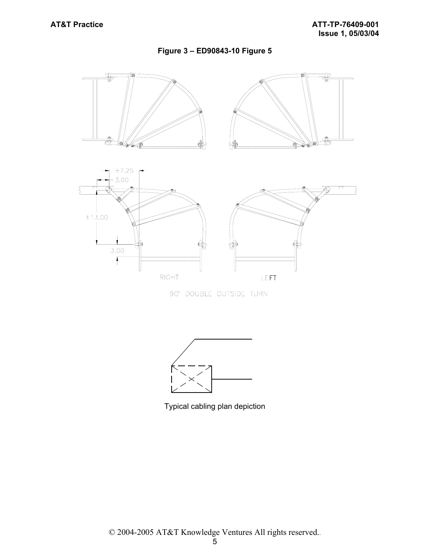### **Figure 3 – ED90843-10 Figure 5**



90° DOUBLE OUTSIDE TURN



Typical cabling plan depiction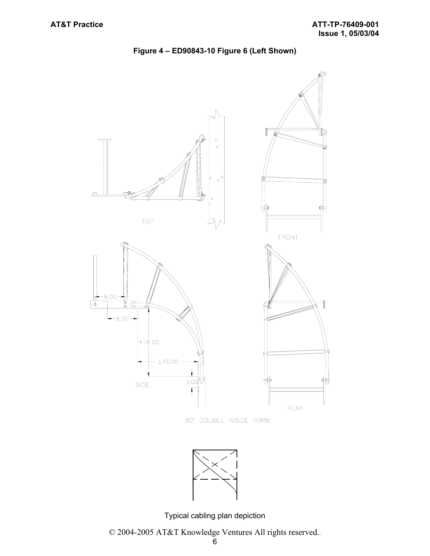

**Figure 4 – ED90843-10 Figure 6 (Left Shown)** 

90° DOUBLE INSIDE TURN



Typical cabling plan depiction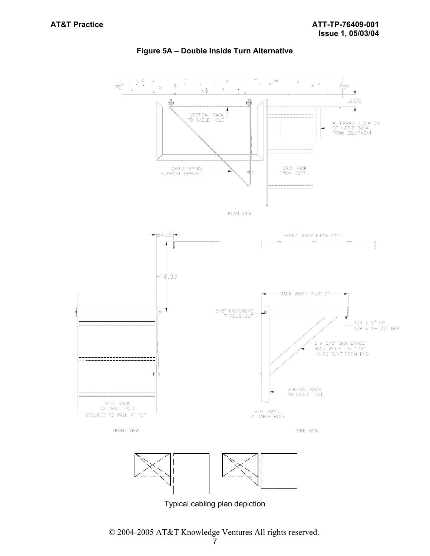

#### **Figure 5A – Double Inside Turn Alternative**



Typical cabling plan depiction